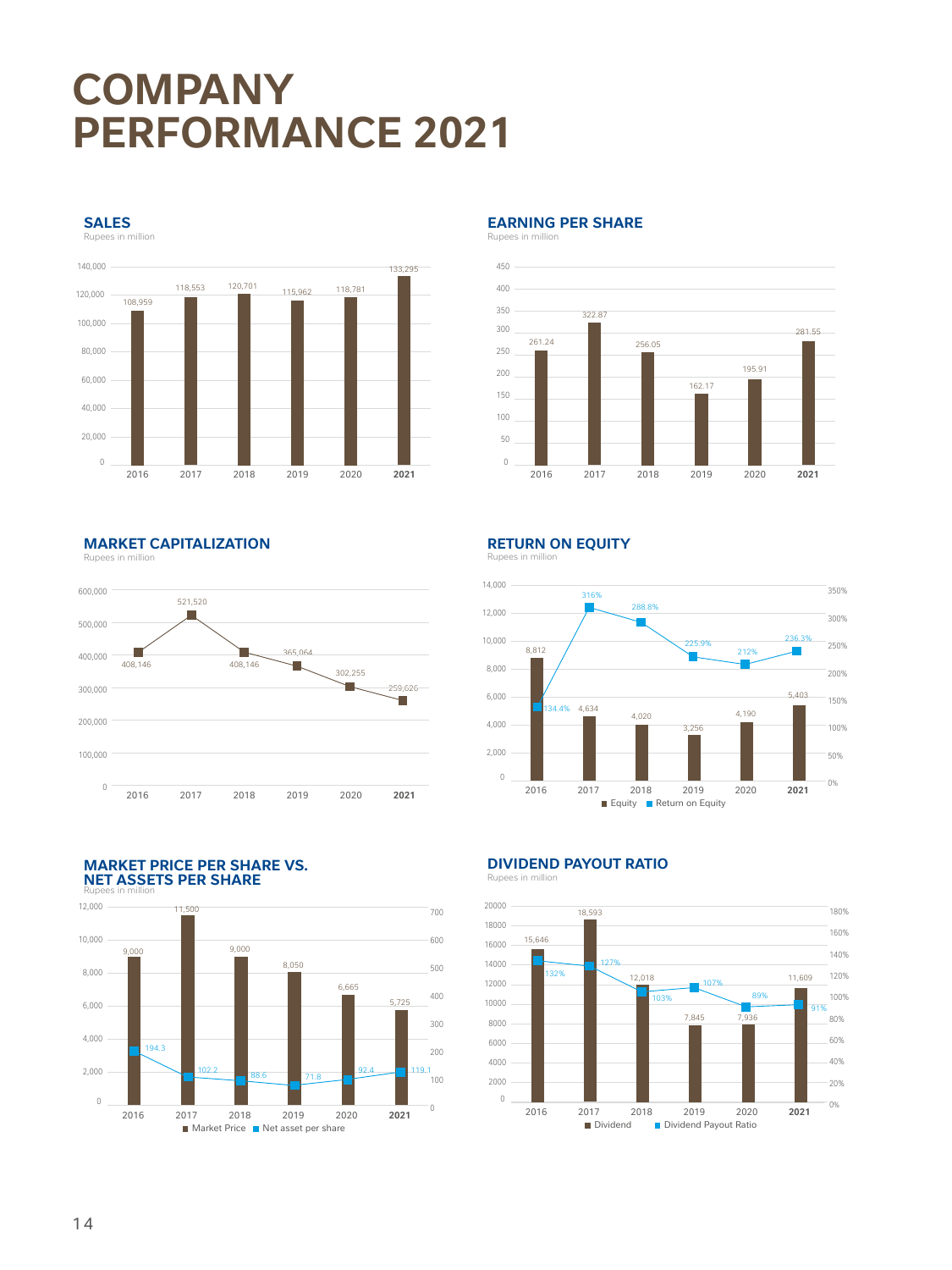# **COMPANY PERFORMANCE 2021**

**SALES**

Rupees in million



**EARNING PER SHARE** Rupees in million



**MARKET CAPITALIZATION**

Rupees in million



#### **MARKET PRICE PER SHARE VS. NET ASSETS PER SHARE** Rupees in million



**RETURN ON EQUITY**

Rupees in million



## **DIVIDEND PAYOUT RATIO**

es in m



#### 14